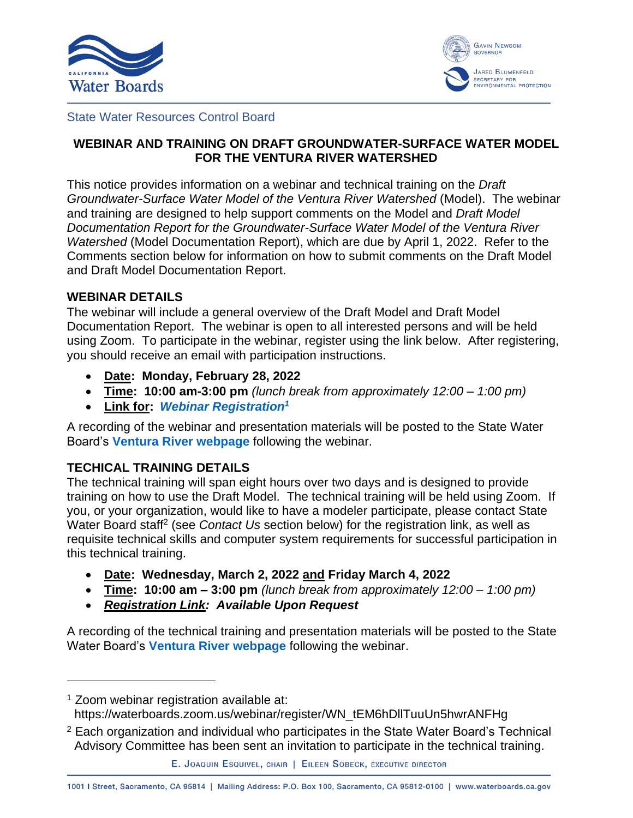



#### State Water Resources Control Board

# **WEBINAR AND TRAINING ON DRAFT GROUNDWATER-SURFACE WATER MODEL FOR THE VENTURA RIVER WATERSHED**

This notice provides information on a webinar and technical training on the *Draft Groundwater-Surface Water Model of the Ventura River Watershed* (Model). The webinar and training are designed to help support comments on the Model and *Draft Model Documentation Report for the Groundwater-Surface Water Model of the Ventura River Watershed* (Model Documentation Report), which are due by April 1, 2022. Refer to the Comments section below for information on how to submit comments on the Draft Model and Draft Model Documentation Report.

## **WEBINAR DETAILS**

The webinar will include a general overview of the Draft Model and Draft Model Documentation Report. The webinar is open to all interested persons and will be held using Zoom. To participate in the webinar, register using the link below. After registering, you should receive an email with participation instructions.

- **Date: Monday, February 28, 2022**
- **Time: 10:00 am-3:00 pm** *(lunch break from approximately 12:00 1:00 pm)*
- **Link for:** *[Webinar Registration](https://waterboards.zoom.us/webinar/register/WN_tEM6hDllTuuUn5hwrANFHg)<sup>1</sup>*

A recording of the webinar and presentation materials will be posted to the State Water Board's **[Ventura River webpage](https://www.waterboards.ca.gov/waterrights/water_issues/programs/instream_flows/cwap_enhancing/ventura_river.html)** following the webinar.

# **TECHICAL TRAINING DETAILS**

The technical training will span eight hours over two days and is designed to provide training on how to use the Draft Model. The technical training will be held using Zoom. If you, or your organization, would like to have a modeler participate, please contact State Water Board staff<sup>2</sup> (see *Contact Us* section below) for the registration link, as well as requisite technical skills and computer system requirements for successful participation in this technical training.

- **Date: Wednesday, March 2, 2022 and Friday March 4, 2022**
- **Time: 10:00 am 3:00 pm** *(lunch break from approximately 12:00 1:00 pm)*
- *Registration Link: Available Upon Request*

A recording of the technical training and presentation materials will be posted to the State Water Board's **[Ventura River webpage](https://www.waterboards.ca.gov/waterrights/water_issues/programs/instream_flows/cwap_enhancing/ventura_river.html)** following the webinar.

- https://waterboards.zoom.us/webinar/register/WN\_tEM6hDllTuuUn5hwrANFHg
- 2 Each organization and individual who participates in the State Water Board's Technical Advisory Committee has been sent an invitation to participate in the technical training.

```
E. JOAQUIN ESQUIVEL, CHAIR | EILEEN SOBECK, EXECUTIVE DIRECTOR
```
1001 | Street, Sacramento, CA 95814 | Mailing Address: P.O. Box 100, Sacramento, CA 95812-0100 | www.waterboards.ca.gov

<sup>&</sup>lt;sup>1</sup> Zoom webinar registration available at: